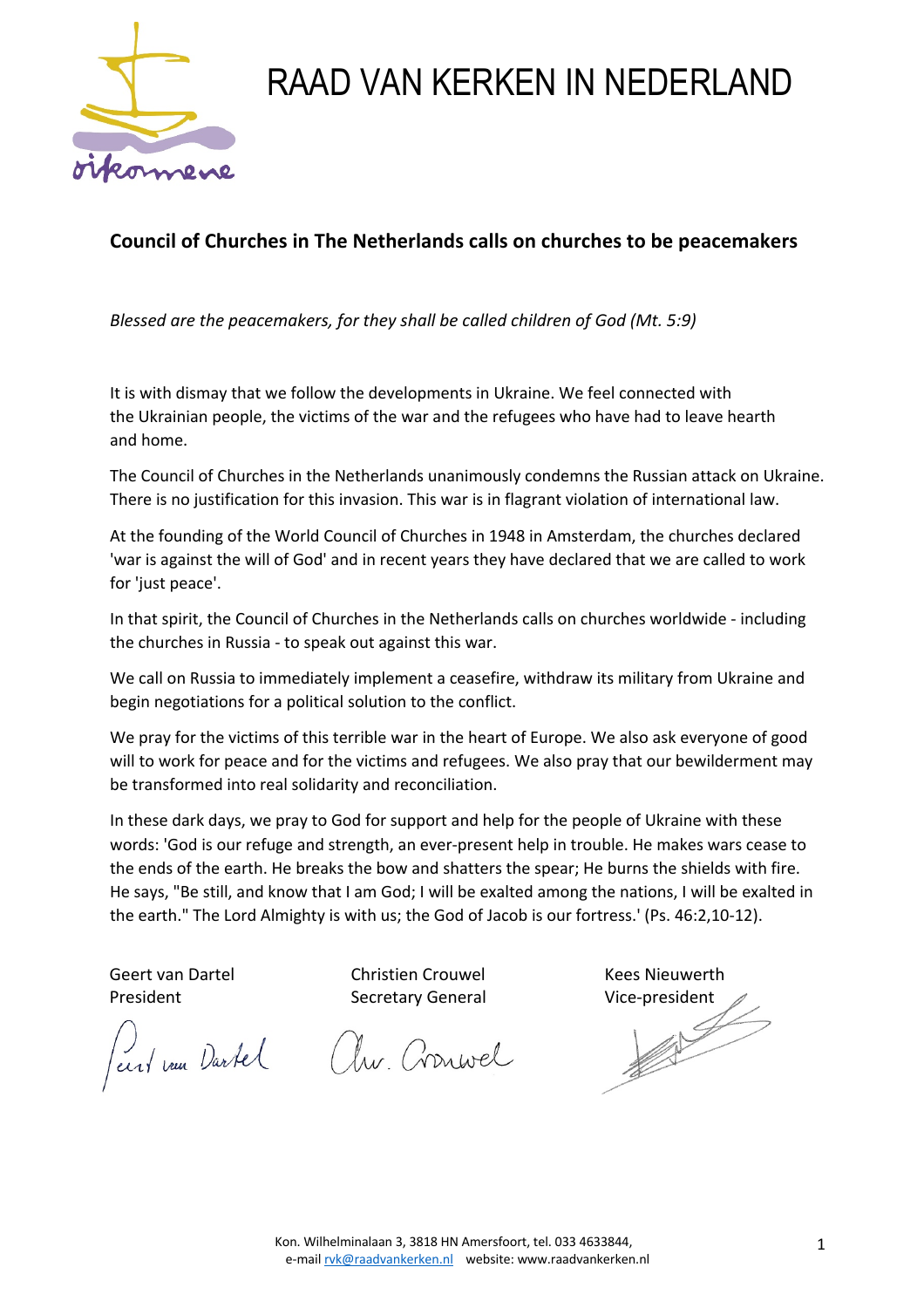

## RAAD VAN KERKEN IN NEDERLAND

## **Council of Churches in The Netherlands calls on churches to be peacemakers**

*Blessed are the peacemakers, for they shall be called children of God (Mt. 5:9)* 

It is with dismay that we follow the developments in Ukraine. We feel connected with the Ukrainian people, the victims of the war and the refugees who have had to leave hearth and home.

The Council of Churches in the Netherlands unanimously condemns the Russian attack on Ukraine. There is no justification for this invasion. This war is in flagrant violation of international law.

At the founding of the World Council of Churches in 1948 in Amsterdam, the churches declared 'war is against the will of God' and in recent years they have declared that we are called to work for 'just peace'.

In that spirit, the Council of Churches in the Netherlands calls on churches worldwide - including the churches in Russia - to speak out against this war.

We call on Russia to immediately implement a ceasefire, withdraw its military from Ukraine and begin negotiations for a political solution to the conflict.

We pray for the victims of this terrible war in the heart of Europe. We also ask everyone of good will to work for peace and for the victims and refugees. We also pray that our bewilderment may be transformed into real solidarity and reconciliation.

In these dark days, we pray to God for support and help for the people of Ukraine with these words: 'God is our refuge and strength, an ever-present help in trouble. He makes wars cease to the ends of the earth. He breaks the bow and shatters the spear; He burns the shields with fire. He says, "Be still, and know that I am God; I will be exalted among the nations, I will be exalted in the earth." The Lord Almighty is with us; the God of Jacob is our fortress.' (Ps. 46:2,10-12).

Peerlemen Dartel Aw. Cronwel

Geert van Dartel Christien Crouwel Kees Nieuwerth President **Secretary General** Vice-president